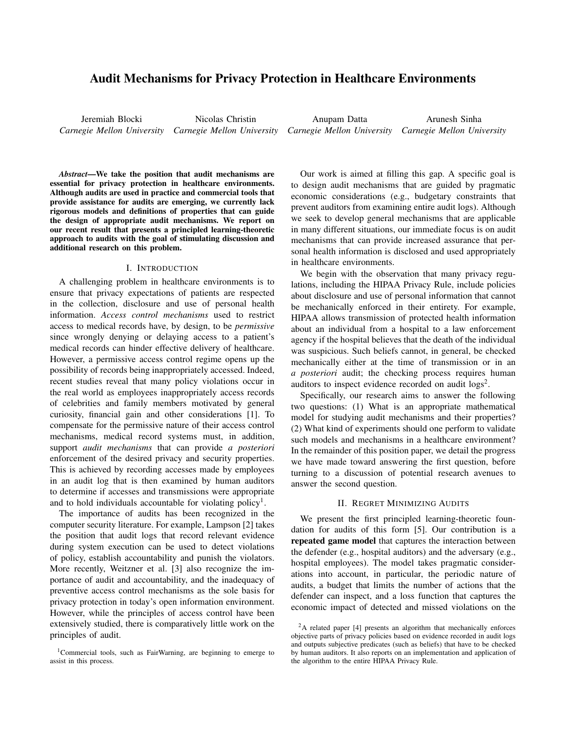# Audit Mechanisms for Privacy Protection in Healthcare Environments

Jeremiah Blocki Nicolas Christin

*Carnegie Mellon University Carnegie Mellon University Carnegie Mellon University Carnegie Mellon University* Anupam Datta Arunesh Sinha

*Abstract*—We take the position that audit mechanisms are essential for privacy protection in healthcare environments. Although audits are used in practice and commercial tools that provide assistance for audits are emerging, we currently lack rigorous models and definitions of properties that can guide the design of appropriate audit mechanisms. We report on our recent result that presents a principled learning-theoretic approach to audits with the goal of stimulating discussion and additional research on this problem.

#### I. INTRODUCTION

A challenging problem in healthcare environments is to ensure that privacy expectations of patients are respected in the collection, disclosure and use of personal health information. *Access control mechanisms* used to restrict access to medical records have, by design, to be *permissive* since wrongly denying or delaying access to a patient's medical records can hinder effective delivery of healthcare. However, a permissive access control regime opens up the possibility of records being inappropriately accessed. Indeed, recent studies reveal that many policy violations occur in the real world as employees inappropriately access records of celebrities and family members motivated by general curiosity, financial gain and other considerations [1]. To compensate for the permissive nature of their access control mechanisms, medical record systems must, in addition, support *audit mechanisms* that can provide *a posteriori* enforcement of the desired privacy and security properties. This is achieved by recording accesses made by employees in an audit log that is then examined by human auditors to determine if accesses and transmissions were appropriate and to hold individuals accountable for violating policy<sup>1</sup>.

The importance of audits has been recognized in the computer security literature. For example, Lampson [2] takes the position that audit logs that record relevant evidence during system execution can be used to detect violations of policy, establish accountability and punish the violators. More recently, Weitzner et al. [3] also recognize the importance of audit and accountability, and the inadequacy of preventive access control mechanisms as the sole basis for privacy protection in today's open information environment. However, while the principles of access control have been extensively studied, there is comparatively little work on the principles of audit.

Our work is aimed at filling this gap. A specific goal is to design audit mechanisms that are guided by pragmatic economic considerations (e.g., budgetary constraints that prevent auditors from examining entire audit logs). Although we seek to develop general mechanisms that are applicable in many different situations, our immediate focus is on audit mechanisms that can provide increased assurance that personal health information is disclosed and used appropriately in healthcare environments.

We begin with the observation that many privacy regulations, including the HIPAA Privacy Rule, include policies about disclosure and use of personal information that cannot be mechanically enforced in their entirety. For example, HIPAA allows transmission of protected health information about an individual from a hospital to a law enforcement agency if the hospital believes that the death of the individual was suspicious. Such beliefs cannot, in general, be checked mechanically either at the time of transmission or in an *a posteriori* audit; the checking process requires human auditors to inspect evidence recorded on audit  $\log s^2$ .

Specifically, our research aims to answer the following two questions: (1) What is an appropriate mathematical model for studying audit mechanisms and their properties? (2) What kind of experiments should one perform to validate such models and mechanisms in a healthcare environment? In the remainder of this position paper, we detail the progress we have made toward answering the first question, before turning to a discussion of potential research avenues to answer the second question.

### II. REGRET MINIMIZING AUDITS

We present the first principled learning-theoretic foundation for audits of this form [5]. Our contribution is a repeated game model that captures the interaction between the defender (e.g., hospital auditors) and the adversary (e.g., hospital employees). The model takes pragmatic considerations into account, in particular, the periodic nature of audits, a budget that limits the number of actions that the defender can inspect, and a loss function that captures the economic impact of detected and missed violations on the

<sup>1</sup>Commercial tools, such as FairWarning, are beginning to emerge to assist in this process.

 $2A$  related paper [4] presents an algorithm that mechanically enforces objective parts of privacy policies based on evidence recorded in audit logs and outputs subjective predicates (such as beliefs) that have to be checked by human auditors. It also reports on an implementation and application of the algorithm to the entire HIPAA Privacy Rule.